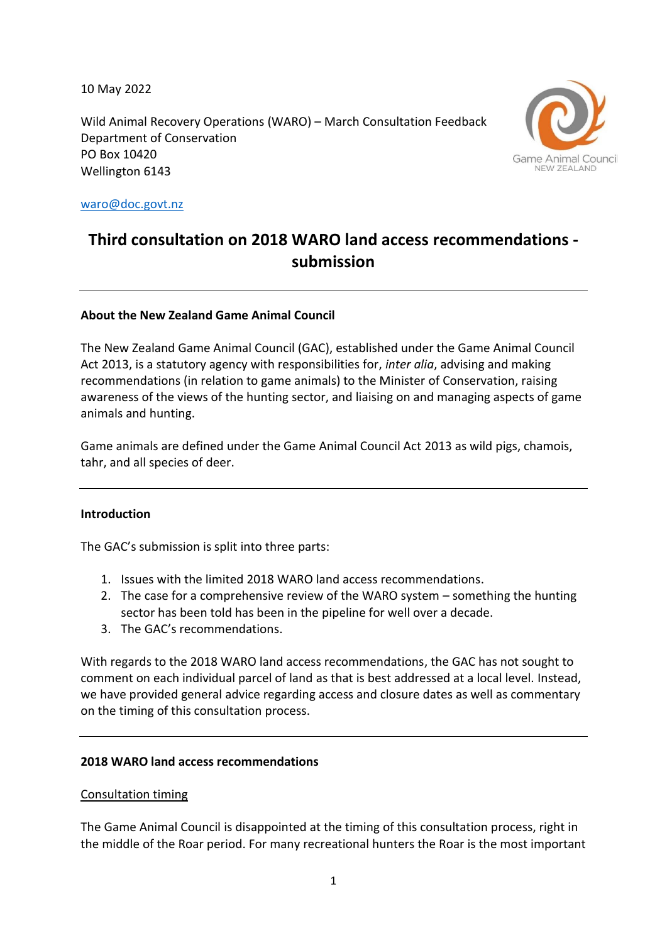10 May 2022

Wild Animal Recovery Operations (WARO) – March Consultation Feedback Department of Conservation PO Box 10420 Wellington 6143



[waro@doc.govt.nz](mailto:waro@doc.govt.nz)

# **Third consultation on 2018 WARO land access recommendations submission**

#### **About the New Zealand Game Animal Council**

The New Zealand Game Animal Council (GAC), established under the Game Animal Council Act 2013, is a statutory agency with responsibilities for, *inter alia*, advising and making recommendations (in relation to game animals) to the Minister of Conservation, raising awareness of the views of the hunting sector, and liaising on and managing aspects of game animals and hunting.

Game animals are defined under the Game Animal Council Act 2013 as wild pigs, chamois, tahr, and all species of deer.

#### **Introduction**

The GAC's submission is split into three parts:

- 1. Issues with the limited 2018 WARO land access recommendations.
- 2. The case for a comprehensive review of the WARO system something the hunting sector has been told has been in the pipeline for well over a decade.
- 3. The GAC's recommendations.

With regards to the 2018 WARO land access recommendations, the GAC has not sought to comment on each individual parcel of land as that is best addressed at a local level. Instead, we have provided general advice regarding access and closure dates as well as commentary on the timing of this consultation process.

#### **2018 WARO land access recommendations**

#### Consultation timing

The Game Animal Council is disappointed at the timing of this consultation process, right in the middle of the Roar period. For many recreational hunters the Roar is the most important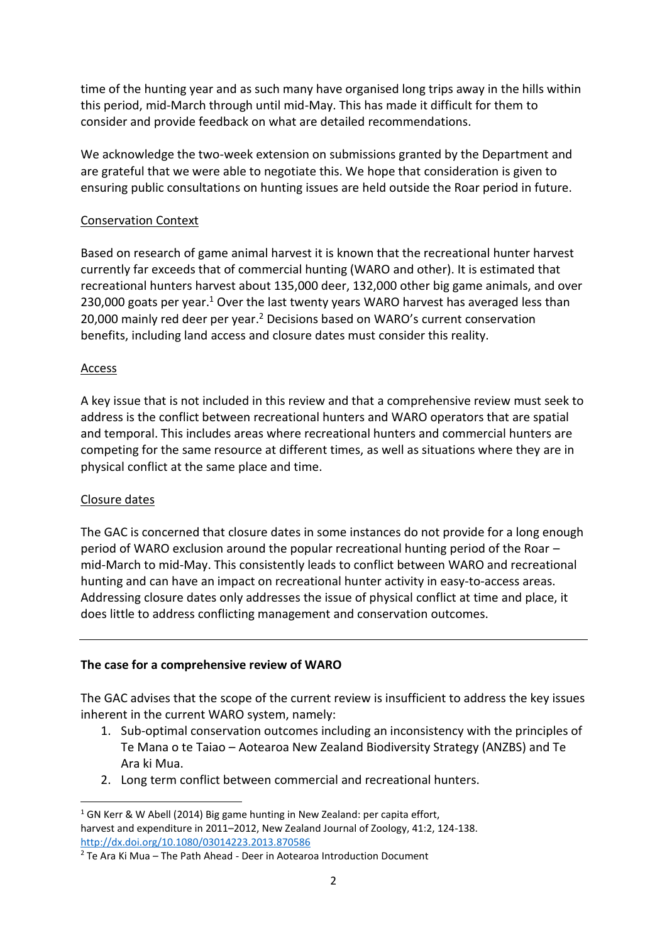time of the hunting year and as such many have organised long trips away in the hills within this period, mid-March through until mid-May. This has made it difficult for them to consider and provide feedback on what are detailed recommendations.

We acknowledge the two-week extension on submissions granted by the Department and are grateful that we were able to negotiate this. We hope that consideration is given to ensuring public consultations on hunting issues are held outside the Roar period in future.

## Conservation Context

Based on research of game animal harvest it is known that the recreational hunter harvest currently far exceeds that of commercial hunting (WARO and other). It is estimated that recreational hunters harvest about 135,000 deer, 132,000 other big game animals, and over 230,000 goats per year.<sup>1</sup> Over the last twenty years WARO harvest has averaged less than 20,000 mainly red deer per year.<sup>2</sup> Decisions based on WARO's current conservation benefits, including land access and closure dates must consider this reality.

## Access

A key issue that is not included in this review and that a comprehensive review must seek to address is the conflict between recreational hunters and WARO operators that are spatial and temporal. This includes areas where recreational hunters and commercial hunters are competing for the same resource at different times, as well as situations where they are in physical conflict at the same place and time.

#### Closure dates

The GAC is concerned that closure dates in some instances do not provide for a long enough period of WARO exclusion around the popular recreational hunting period of the Roar – mid-March to mid-May. This consistently leads to conflict between WARO and recreational hunting and can have an impact on recreational hunter activity in easy-to-access areas. Addressing closure dates only addresses the issue of physical conflict at time and place, it does little to address conflicting management and conservation outcomes.

#### **The case for a comprehensive review of WARO**

The GAC advises that the scope of the current review is insufficient to address the key issues inherent in the current WARO system, namely:

- 1. Sub-optimal conservation outcomes including an inconsistency with the principles of Te Mana o te Taiao – Aotearoa New Zealand Biodiversity Strategy (ANZBS) and Te Ara ki Mua.
- 2. Long term conflict between commercial and recreational hunters.

 $1$  GN Kerr & W Abell (2014) Big game hunting in New Zealand: per capita effort, harvest and expenditure in 2011–2012, New Zealand Journal of Zoology, 41:2, 124-138. <http://dx.doi.org/10.1080/03014223.2013.870586>

 $2$  Te Ara Ki Mua – The Path Ahead - Deer in Aotearoa Introduction Document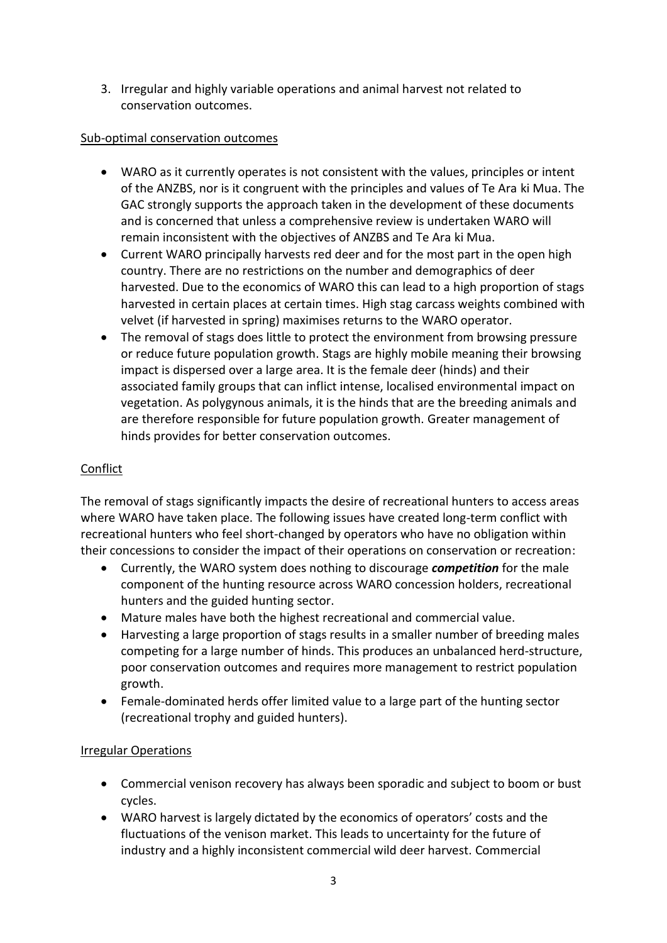3. Irregular and highly variable operations and animal harvest not related to conservation outcomes.

# Sub-optimal conservation outcomes

- WARO as it currently operates is not consistent with the values, principles or intent of the ANZBS, nor is it congruent with the principles and values of Te Ara ki Mua. The GAC strongly supports the approach taken in the development of these documents and is concerned that unless a comprehensive review is undertaken WARO will remain inconsistent with the objectives of ANZBS and Te Ara ki Mua.
- Current WARO principally harvests red deer and for the most part in the open high country. There are no restrictions on the number and demographics of deer harvested. Due to the economics of WARO this can lead to a high proportion of stags harvested in certain places at certain times. High stag carcass weights combined with velvet (if harvested in spring) maximises returns to the WARO operator.
- The removal of stags does little to protect the environment from browsing pressure or reduce future population growth. Stags are highly mobile meaning their browsing impact is dispersed over a large area. It is the female deer (hinds) and their associated family groups that can inflict intense, localised environmental impact on vegetation. As polygynous animals, it is the hinds that are the breeding animals and are therefore responsible for future population growth. Greater management of hinds provides for better conservation outcomes.

# **Conflict**

The removal of stags significantly impacts the desire of recreational hunters to access areas where WARO have taken place. The following issues have created long-term conflict with recreational hunters who feel short-changed by operators who have no obligation within their concessions to consider the impact of their operations on conservation or recreation:

- Currently, the WARO system does nothing to discourage *competition* for the male component of the hunting resource across WARO concession holders, recreational hunters and the guided hunting sector.
- Mature males have both the highest recreational and commercial value.
- Harvesting a large proportion of stags results in a smaller number of breeding males competing for a large number of hinds. This produces an unbalanced herd-structure, poor conservation outcomes and requires more management to restrict population growth.
- Female-dominated herds offer limited value to a large part of the hunting sector (recreational trophy and guided hunters).

# Irregular Operations

- Commercial venison recovery has always been sporadic and subject to boom or bust cycles.
- WARO harvest is largely dictated by the economics of operators' costs and the fluctuations of the venison market. This leads to uncertainty for the future of industry and a highly inconsistent commercial wild deer harvest. Commercial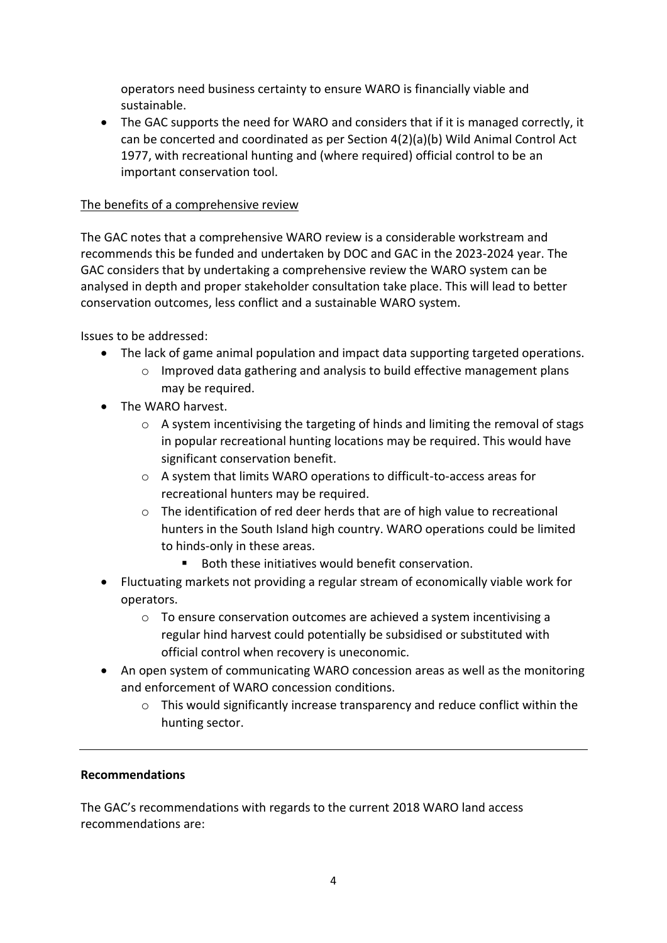operators need business certainty to ensure WARO is financially viable and sustainable.

• The GAC supports the need for WARO and considers that if it is managed correctly, it can be concerted and coordinated as per Section 4(2)(a)(b) Wild Animal Control Act 1977, with recreational hunting and (where required) official control to be an important conservation tool.

# The benefits of a comprehensive review

The GAC notes that a comprehensive WARO review is a considerable workstream and recommends this be funded and undertaken by DOC and GAC in the 2023-2024 year. The GAC considers that by undertaking a comprehensive review the WARO system can be analysed in depth and proper stakeholder consultation take place. This will lead to better conservation outcomes, less conflict and a sustainable WARO system.

Issues to be addressed:

- The lack of game animal population and impact data supporting targeted operations.
	- $\circ$  Improved data gathering and analysis to build effective management plans may be required.
- The WARO harvest.
	- $\circ$  A system incentivising the targeting of hinds and limiting the removal of stags in popular recreational hunting locations may be required. This would have significant conservation benefit.
	- o A system that limits WARO operations to difficult-to-access areas for recreational hunters may be required.
	- $\circ$  The identification of red deer herds that are of high value to recreational hunters in the South Island high country. WARO operations could be limited to hinds-only in these areas.
		- Both these initiatives would benefit conservation.
- Fluctuating markets not providing a regular stream of economically viable work for operators.
	- o To ensure conservation outcomes are achieved a system incentivising a regular hind harvest could potentially be subsidised or substituted with official control when recovery is uneconomic.
- An open system of communicating WARO concession areas as well as the monitoring and enforcement of WARO concession conditions.
	- $\circ$  This would significantly increase transparency and reduce conflict within the hunting sector.

# **Recommendations**

The GAC's recommendations with regards to the current 2018 WARO land access recommendations are: